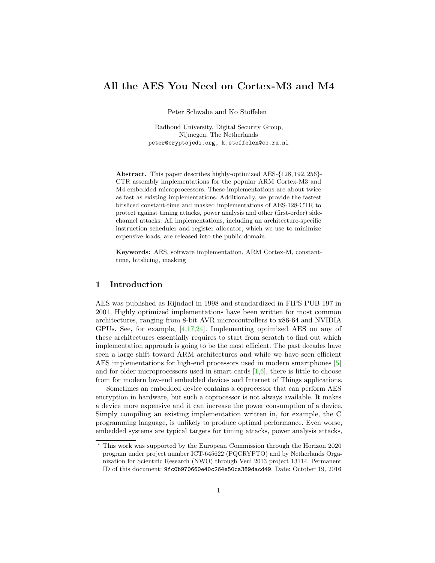# All the AES You Need on Cortex-M3 and M4

Peter Schwabe and Ko Stoffelen

Radboud University, Digital Security Group, Nijmegen, The Netherlands peter@cryptojedi.org, k.stoffelen@cs.ru.nl

Abstract. This paper describes highly-optimized AES-{128, 192, 256}- CTR assembly implementations for the popular ARM Cortex-M3 and M4 embedded microprocessors. These implementations are about twice as fast as existing implementations. Additionally, we provide the fastest bitsliced constant-time and masked implementations of AES-128-CTR to protect against timing attacks, power analysis and other (first-order) sidechannel attacks. All implementations, including an architecture-specific instruction scheduler and register allocator, which we use to minimize expensive loads, are released into the public domain.

Keywords: AES, software implementation, ARM Cortex-M, constanttime, bitslicing, masking

## 1 Introduction

AES was published as Rijndael in 1998 and standardized in FIPS PUB 197 in 2001. Highly optimized implementations have been written for most common architectures, ranging from 8-bit AVR microcontrollers to x86-64 and NVIDIA GPUs. See, for example, [\[4](#page-12-0)[,17](#page-13-0)[,24\]](#page-14-0). Implementing optimized AES on any of these architectures essentially requires to start from scratch to find out which implementation approach is going to be the most efficient. The past decades have seen a large shift toward ARM architectures and while we have seen efficient AES implementations for high-end processors used in modern smartphones [\[5\]](#page-12-1) and for older microprocessors used in smart cards  $[1,6]$  $[1,6]$ , there is little to choose from for modern low-end embedded devices and Internet of Things applications.

Sometimes an embedded device contains a coprocessor that can perform AES encryption in hardware, but such a coprocessor is not always available. It makes a device more expensive and it can increase the power consumption of a device. Simply compiling an existing implementation written in, for example, the C programming language, is unlikely to produce optimal performance. Even worse, embedded systems are typical targets for timing attacks, power analysis attacks,

<sup>?</sup> This work was supported by the European Commission through the Horizon 2020 program under project number ICT-645622 (PQCRYPTO) and by Netherlands Organization for Scientific Research (NWO) through Veni 2013 project 13114. Permanent ID of this document: 9fc0b970660e40c264e50ca389dacd49. Date: October 19, 2016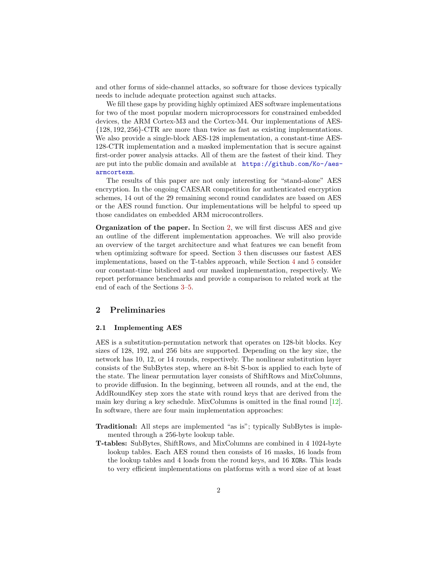and other forms of side-channel attacks, so software for those devices typically needs to include adequate protection against such attacks.

We fill these gaps by providing highly optimized AES software implementations for two of the most popular modern microprocessors for constrained embedded devices, the ARM Cortex-M3 and the Cortex-M4. Our implementations of AES- {128, 192, 256}-CTR are more than twice as fast as existing implementations. We also provide a single-block AES-128 implementation, a constant-time AES-128-CTR implementation and a masked implementation that is secure against first-order power analysis attacks. All of them are the fastest of their kind. They are put into the public domain and available at [https://github.com/Ko-/aes](https://github.com/Ko-/aes-armcortexm)[armcortexm](https://github.com/Ko-/aes-armcortexm).

The results of this paper are not only interesting for "stand-alone" AES encryption. In the ongoing CAESAR competition for authenticated encryption schemes, 14 out of the 29 remaining second round candidates are based on AES or the AES round function. Our implementations will be helpful to speed up those candidates on embedded ARM microcontrollers.

Organization of the paper. In Section [2,](#page-1-0) we will first discuss AES and give an outline of the different implementation approaches. We will also provide an overview of the target architecture and what features we can benefit from when optimizing software for speed. Section [3](#page-4-0) then discusses our fastest AES implementations, based on the T-tables approach, while Section [4](#page-7-0) and [5](#page-10-0) consider our constant-time bitsliced and our masked implementation, respectively. We report performance benchmarks and provide a comparison to related work at the end of each of the Sections [3–](#page-4-0)[5.](#page-10-0)

## <span id="page-1-0"></span>2 Preliminaries

#### 2.1 Implementing AES

AES is a substitution-permutation network that operates on 128-bit blocks. Key sizes of 128, 192, and 256 bits are supported. Depending on the key size, the network has 10, 12, or 14 rounds, respectively. The nonlinear substitution layer consists of the SubBytes step, where an 8-bit S-box is applied to each byte of the state. The linear permutation layer consists of ShiftRows and MixColumns, to provide diffusion. In the beginning, between all rounds, and at the end, the AddRoundKey step xors the state with round keys that are derived from the main key during a key schedule. MixColumns is omitted in the final round [\[12\]](#page-13-1). In software, there are four main implementation approaches:

- Traditional: All steps are implemented "as is"; typically SubBytes is implemented through a 256-byte lookup table.
- T-tables: SubBytes, ShiftRows, and MixColumns are combined in 4 1024-byte lookup tables. Each AES round then consists of 16 masks, 16 loads from the lookup tables and 4 loads from the round keys, and 16 XORs. This leads to very efficient implementations on platforms with a word size of at least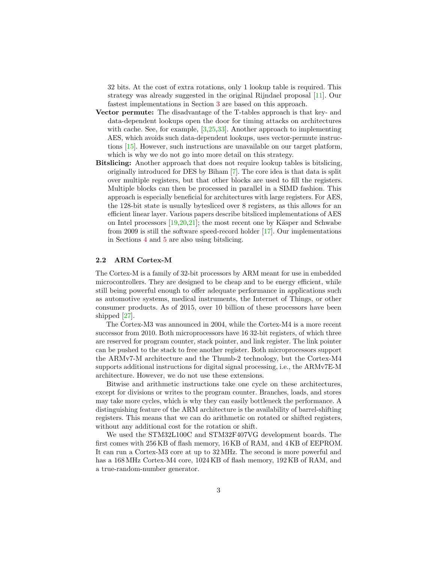32 bits. At the cost of extra rotations, only 1 lookup table is required. This strategy was already suggested in the original Rijndael proposal [\[11\]](#page-13-2). Our fastest implementations in Section [3](#page-4-0) are based on this approach.

- Vector permute: The disadvantage of the T-tables approach is that key- and data-dependent lookups open the door for timing attacks on architectures with cache. See, for example, [\[3,](#page-12-4)[25,](#page-14-1)[33\]](#page-14-2). Another approach to implementing AES, which avoids such data-dependent lookups, uses vector-permute instructions [\[15\]](#page-13-3). However, such instructions are unavailable on our target platform, which is why we do not go into more detail on this strategy.
- Bitslicing: Another approach that does not require lookup tables is bitslicing, originally introduced for DES by Biham [\[7\]](#page-12-5). The core idea is that data is split over multiple registers, but that other blocks are used to fill the registers. Multiple blocks can then be processed in parallel in a SIMD fashion. This approach is especially beneficial for architectures with large registers. For AES, the 128-bit state is usually bytesliced over 8 registers, as this allows for an efficient linear layer. Various papers describe bitsliced implementations of AES on Intel processors  $[19,20,21]$  $[19,20,21]$  $[19,20,21]$ ; the most recent one by Käsper and Schwabe from 2009 is still the software speed-record holder [\[17\]](#page-13-0). Our implementations in Sections [4](#page-7-0) and [5](#page-10-0) are also using bitslicing.

#### 2.2 ARM Cortex-M

The Cortex-M is a family of 32-bit processors by ARM meant for use in embedded microcontrollers. They are designed to be cheap and to be energy efficient, while still being powerful enough to offer adequate performance in applications such as automotive systems, medical instruments, the Internet of Things, or other consumer products. As of 2015, over 10 billion of these processors have been shipped [\[27\]](#page-14-3).

The Cortex-M3 was announced in 2004, while the Cortex-M4 is a more recent successor from 2010. Both microprocessors have 16 32-bit registers, of which three are reserved for program counter, stack pointer, and link register. The link pointer can be pushed to the stack to free another register. Both microprocessors support the ARMv7-M architecture and the Thumb-2 technology, but the Cortex-M4 supports additional instructions for digital signal processing, i.e., the ARMv7E-M architecture. However, we do not use these extensions.

Bitwise and arithmetic instructions take one cycle on these architectures, except for divisions or writes to the program counter. Branches, loads, and stores may take more cycles, which is why they can easily bottleneck the performance. A distinguishing feature of the ARM architecture is the availability of barrel-shifting registers. This means that we can do arithmetic on rotated or shifted registers, without any additional cost for the rotation or shift.

We used the STM32L100C and STM32F407VG development boards. The first comes with 256 KB of flash memory, 16 KB of RAM, and 4 KB of EEPROM. It can run a Cortex-M3 core at up to 32 MHz. The second is more powerful and has a 168 MHz Cortex-M4 core, 1024 KB of flash memory, 192 KB of RAM, and a true-random-number generator.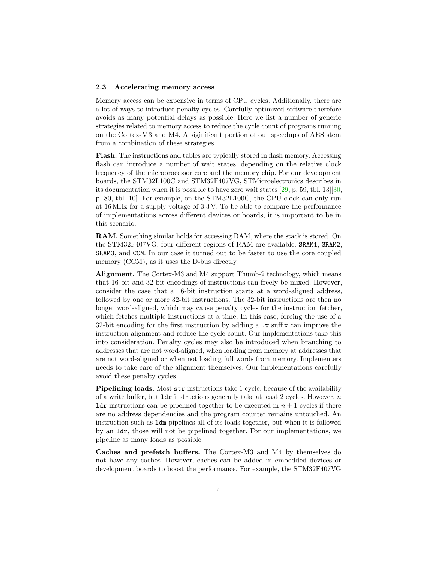#### 2.3 Accelerating memory access

Memory access can be expensive in terms of CPU cycles. Additionally, there are a lot of ways to introduce penalty cycles. Carefully optimized software therefore avoids as many potential delays as possible. Here we list a number of generic strategies related to memory access to reduce the cycle count of programs running on the Cortex-M3 and M4. A siginifcant portion of our speedups of AES stem from a combination of these strategies.

Flash. The instructions and tables are typically stored in flash memory. Accessing flash can introduce a number of wait states, depending on the relative clock frequency of the microprocessor core and the memory chip. For our development boards, the STM32L100C and STM32F407VG, STMicroelectronics describes in its documentation when it is possible to have zero wait states  $[29, p. 59, tbl. 13][30,$  $[29, p. 59, tbl. 13][30,$  $[29, p. 59, tbl. 13][30,$ p. 80, tbl. 10]. For example, on the STM32L100C, the CPU clock can only run at 16 MHz for a supply voltage of 3.3 V. To be able to compare the performance of implementations across different devices or boards, it is important to be in this scenario.

RAM. Something similar holds for accessing RAM, where the stack is stored. On the STM32F407VG, four different regions of RAM are available: SRAM1, SRAM2, SRAM3, and CCM. In our case it turned out to be faster to use the core coupled memory (CCM), as it uses the D-bus directly.

Alignment. The Cortex-M3 and M4 support Thumb-2 technology, which means that 16-bit and 32-bit encodings of instructions can freely be mixed. However, consider the case that a 16-bit instruction starts at a word-aligned address, followed by one or more 32-bit instructions. The 32-bit instructions are then no longer word-aligned, which may cause penalty cycles for the instruction fetcher, which fetches multiple instructions at a time. In this case, forcing the use of a 32-bit encoding for the first instruction by adding a  $\cdot$  w suffix can improve the instruction alignment and reduce the cycle count. Our implementations take this into consideration. Penalty cycles may also be introduced when branching to addresses that are not word-aligned, when loading from memory at addresses that are not word-aligned or when not loading full words from memory. Implementers needs to take care of the alignment themselves. Our implementations carefully avoid these penalty cycles.

Pipelining loads. Most str instructions take 1 cycle, because of the availability of a write buffer, but  $1dr$  instructions generally take at least 2 cycles. However, n **Ldr** instructions can be pipelined together to be executed in  $n + 1$  cycles if there are no address dependencies and the program counter remains untouched. An instruction such as ldm pipelines all of its loads together, but when it is followed by an ldr, those will not be pipelined together. For our implementations, we pipeline as many loads as possible.

Caches and prefetch buffers. The Cortex-M3 and M4 by themselves do not have any caches. However, caches can be added in embedded devices or development boards to boost the performance. For example, the STM32F407VG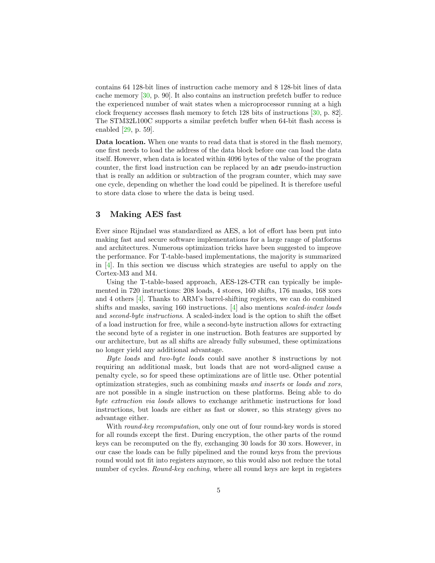contains 64 128-bit lines of instruction cache memory and 8 128-bit lines of data cache memory [\[30,](#page-14-5) p. 90]. It also contains an instruction prefetch buffer to reduce the experienced number of wait states when a microprocessor running at a high clock frequency accesses flash memory to fetch 128 bits of instructions [\[30,](#page-14-5) p. 82]. The STM32L100C supports a similar prefetch buffer when 64-bit flash access is enabled [\[29,](#page-14-4) p. 59].

Data location. When one wants to read data that is stored in the flash memory, one first needs to load the address of the data block before one can load the data itself. However, when data is located within 4096 bytes of the value of the program counter, the first load instruction can be replaced by an adr pseudo-instruction that is really an addition or subtraction of the program counter, which may save one cycle, depending on whether the load could be pipelined. It is therefore useful to store data close to where the data is being used.

## <span id="page-4-0"></span>3 Making AES fast

Ever since Rijndael was standardized as AES, a lot of effort has been put into making fast and secure software implementations for a large range of platforms and architectures. Numerous optimization tricks have been suggested to improve the performance. For T-table-based implementations, the majority is summarized in [\[4\]](#page-12-0). In this section we discuss which strategies are useful to apply on the Cortex-M3 and M4.

Using the T-table-based approach, AES-128-CTR can typically be implemented in 720 instructions: 208 loads, 4 stores, 160 shifts, 176 masks, 168 xors and 4 others [\[4\]](#page-12-0). Thanks to ARM's barrel-shifting registers, we can do combined shifts and masks, saving 160 instructions. [\[4\]](#page-12-0) also mentions scaled-index loads and second-byte instructions. A scaled-index load is the option to shift the offset of a load instruction for free, while a second-byte instruction allows for extracting the second byte of a register in one instruction. Both features are supported by our architecture, but as all shifts are already fully subsumed, these optimizations no longer yield any additional advantage.

Byte loads and two-byte loads could save another 8 instructions by not requiring an additional mask, but loads that are not word-aligned cause a penalty cycle, so for speed these optimizations are of little use. Other potential optimization strategies, such as combining masks and inserts or loads and xors, are not possible in a single instruction on these platforms. Being able to do byte extraction via loads allows to exchange arithmetic instructions for load instructions, but loads are either as fast or slower, so this strategy gives no advantage either.

With *round-key recomputation*, only one out of four round-key words is stored for all rounds except the first. During encryption, the other parts of the round keys can be recomputed on the fly, exchanging 30 loads for 30 xors. However, in our case the loads can be fully pipelined and the round keys from the previous round would not fit into registers anymore, so this would also not reduce the total number of cycles. Round-key caching, where all round keys are kept in registers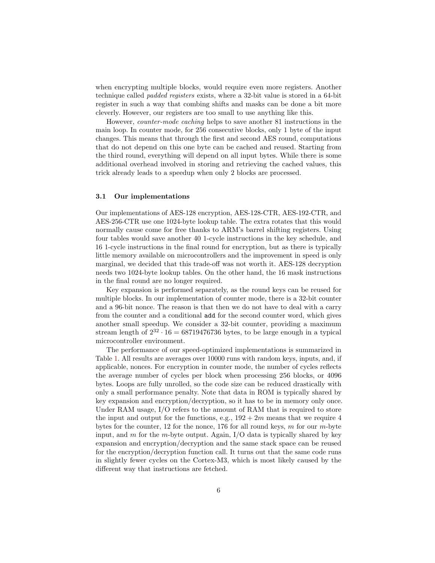when encrypting multiple blocks, would require even more registers. Another technique called padded registers exists, where a 32-bit value is stored in a 64-bit register in such a way that combing shifts and masks can be done a bit more cleverly. However, our registers are too small to use anything like this.

However, counter-mode caching helps to save another 81 instructions in the main loop. In counter mode, for 256 consecutive blocks, only 1 byte of the input changes. This means that through the first and second AES round, computations that do not depend on this one byte can be cached and reused. Starting from the third round, everything will depend on all input bytes. While there is some additional overhead involved in storing and retrieving the cached values, this trick already leads to a speedup when only 2 blocks are processed.

#### 3.1 Our implementations

Our implementations of AES-128 encryption, AES-128-CTR, AES-192-CTR, and AES-256-CTR use one 1024-byte lookup table. The extra rotates that this would normally cause come for free thanks to ARM's barrel shifting registers. Using four tables would save another 40 1-cycle instructions in the key schedule, and 16 1-cycle instructions in the final round for encryption, but as there is typically little memory available on microcontrollers and the improvement in speed is only marginal, we decided that this trade-off was not worth it. AES-128 decryption needs two 1024-byte lookup tables. On the other hand, the 16 mask instructions in the final round are no longer required.

Key expansion is performed separately, as the round keys can be reused for multiple blocks. In our implementation of counter mode, there is a 32-bit counter and a 96-bit nonce. The reason is that then we do not have to deal with a carry from the counter and a conditional add for the second counter word, which gives another small speedup. We consider a 32-bit counter, providing a maximum stream length of  $2^{32} \cdot 16 = 68719476736$  bytes, to be large enough in a typical microcontroller environment.

The performance of our speed-optimized implementations is summarized in Table [1.](#page-6-0) All results are averages over 10000 runs with random keys, inputs, and, if applicable, nonces. For encryption in counter mode, the number of cycles reflects the average number of cycles per block when processing 256 blocks, or 4096 bytes. Loops are fully unrolled, so the code size can be reduced drastically with only a small performance penalty. Note that data in ROM is typically shared by key expansion and encryption/decryption, so it has to be in memory only once. Under RAM usage, I/O refers to the amount of RAM that is required to store the input and output for the functions, e.g.,  $192 + 2m$  means that we require 4 bytes for the counter, 12 for the nonce, 176 for all round keys,  $m$  for our  $m$ -byte input, and m for the m-byte output. Again,  $I/O$  data is typically shared by key expansion and encryption/decryption and the same stack space can be reused for the encryption/decryption function call. It turns out that the same code runs in slightly fewer cycles on the Cortex-M3, which is most likely caused by the different way that instructions are fetched.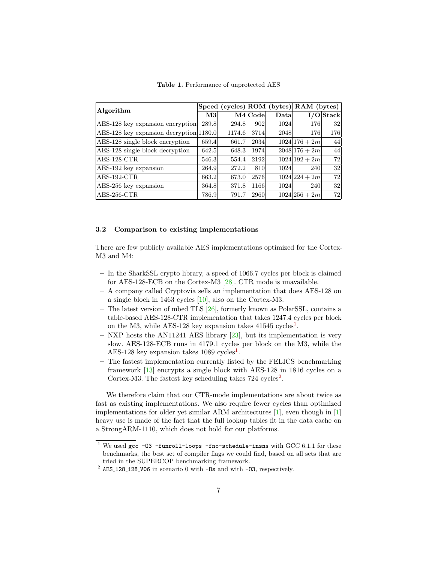| Algorithm                               |       |        |         |      | Speed (cycles) $\vert ROM \rangle$ (bytes) $\vert RAM \rangle$ (bytes) |           |
|-----------------------------------------|-------|--------|---------|------|------------------------------------------------------------------------|-----------|
|                                         | M3    |        | M4 Code | Data |                                                                        | I/O Stack |
| AES-128 key expansion encryption        | 289.8 | 294.8  | 902     | 1024 | 176                                                                    | 32        |
| AES-128 key expansion decryption 1180.0 |       | 1174.6 | 3714    | 2048 | 176                                                                    | 176       |
| AES-128 single block encryption         | 659.4 | 661.7  | 2034    |      | $1024 176+2m $                                                         | 44        |
| AES-128 single block decryption         | 642.5 | 648.3  | 1974    |      | $2048 176+2m $                                                         | 44        |
| $AES-128-CTR$                           | 546.3 | 554.4  | 2192    |      | $1024 192+2m $                                                         | 72        |
| AES-192 key expansion                   | 264.9 | 272.2  | 810     | 1024 | <b>240</b>                                                             | 32        |
| $AES-192-CTR$                           | 663.2 | 673.0  | 2576    |      | $1024 224 + 2m$                                                        | 72        |
| AES-256 key expansion                   | 364.8 | 371.8  | 1166    | 1024 | <b>240</b>                                                             | 32        |
| $AES-256-CTR$                           | 786.9 | 791.7  | 2960    |      | $1024 256+2m $                                                         | 72        |

<span id="page-6-0"></span>Table 1. Performance of unprotected AES

### 3.2 Comparison to existing implementations

There are few publicly available AES implementations optimized for the Cortex-M3 and M4:

- In the SharkSSL crypto library, a speed of 1066.7 cycles per block is claimed for AES-128-ECB on the Cortex-M3 [\[28\]](#page-14-6). CTR mode is unavailable.
- A company called Cryptovia sells an implementation that does AES-128 on a single block in 1463 cycles [\[10\]](#page-13-7), also on the Cortex-M3.
- The latest version of mbed TLS [\[26\]](#page-14-7), formerly known as PolarSSL, contains a table-based AES-128-CTR implementation that takes 1247.4 cycles per block on the M3, while AES-[1](#page-6-1)28 key expansion takes  $41545$  cycles<sup>1</sup>.
- NXP hosts the AN11241 AES library [\[23\]](#page-13-8), but its implementation is very slow. AES-128-ECB runs in 4179.1 cycles per block on the M3, while the  $AES-128$  $AES-128$  $AES-128$  key expansion takes 1089 cycles<sup>1</sup>.
- The fastest implementation currently listed by the FELICS benchmarking framework [\[13\]](#page-13-9) encrypts a single block with AES-128 in 1816 cycles on a Cortex-M3. The fastest key scheduling takes  $724$  $724$  $724$  cycles<sup>2</sup>.

We therefore claim that our CTR-mode implementations are about twice as fast as existing implementations. We also require fewer cycles than optimized implementations for older yet similar ARM architectures [\[1\]](#page-12-2), even though in [\[1\]](#page-12-2) heavy use is made of the fact that the full lookup tables fit in the data cache on a StrongARM-1110, which does not hold for our platforms.

<span id="page-6-1"></span> $1$  We used gcc -03 -funroll-loops -fno-schedule-insns with GCC 6.1.1 for these benchmarks, the best set of compiler flags we could find, based on all sets that are tried in the SUPERCOP benchmarking framework.

<span id="page-6-2"></span> $2$  AES 128 128 V06 in scenario 0 with  $-0s$  and with  $-03$ , respectively.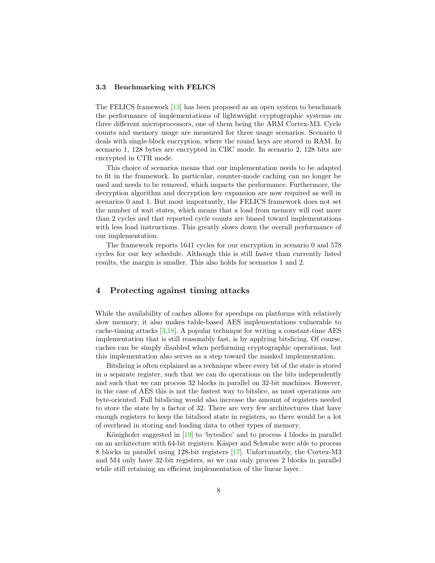#### 3.3 Benchmarking with FELICS

The FELICS framework [\[13\]](#page-13-9) has been proposed as an open system to benchmark the performance of implementations of lightweight cryptographic systems on three different microprocessors, one of them being the ARM Cortex-M3. Cycle counts and memory usage are measured for three usage scenarios. Scenario 0 deals with single-block encryption, where the round keys are stored in RAM. In scenario 1, 128 bytes are encrypted in CBC mode. In scenario 2, 128 bits are encrypted in CTR mode.

This choice of scenarios means that our implementation needs to be adapted to fit in the framework. In particular, counter-mode caching can no longer be used and needs to be removed, which impacts the performance. Furthermore, the decryption algorithm and decryption key expansion are now required as well in scenarios 0 and 1. But most importantly, the FELICS framework does not set the number of wait states, which means that a load from memory will cost more than 2 cycles and that reported cycle counts are biased toward implementations with less load instructions. This greatly slows down the overall performance of our implementation.

The framework reports 1641 cycles for our encryption in scenario 0 and 578 cycles for our key schedule. Although this is still faster than currently listed results, the margin is smaller. This also holds for scenarios 1 and 2.

## <span id="page-7-0"></span>4 Protecting against timing attacks

While the availability of caches allows for speedups on platforms with relatively slow memory, it also makes table-based AES implementations vulnerable to cache-timing attacks [\[3,](#page-12-4)[18\]](#page-13-10). A popular technique for writing a constant-time AES implementation that is still reasonably fast, is by applying bitslicing. Of course, caches can be simply disabled when performing cryptographic operations, but this implementation also serves as a step toward the masked implementation.

Bitslicing is often explained as a technique where every bit of the state is stored in a separate register, such that we can do operations on the bits independently and such that we can process 32 blocks in parallel on 32-bit machines. However, in the case of AES this is not the fastest way to bitslice, as most operations are byte-oriented. Full bitslicing would also increase the amount of registers needed to store the state by a factor of 32. There are very few architectures that have enough registers to keep the bitsliced state in registers, so there would be a lot of overhead in storing and loading data to other types of memory.

Könighofer suggested in  $[19]$  to 'byteslice' and to process 4 blocks in parallel on an architecture with 64-bit registers. Käsper and Schwabe were able to process 8 blocks in parallel using 128-bit registers [\[17\]](#page-13-0). Unfortunately, the Cortex-M3 and M4 only have 32-bit registers, so we can only process 2 blocks in parallel while still retaining an efficient implementation of the linear layer.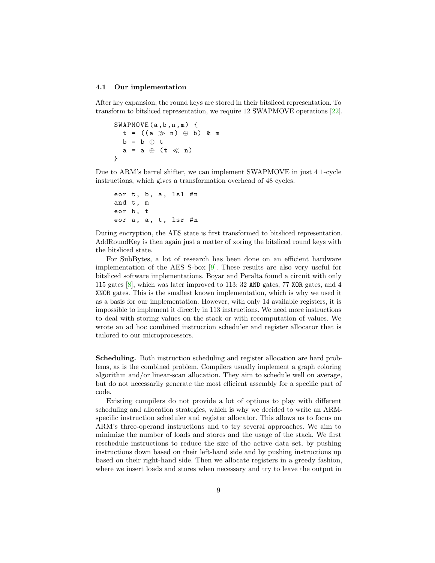#### 4.1 Our implementation

After key expansion, the round keys are stored in their bitsliced representation. To transform to bitsliced representation, we require 12 SWAPMOVE operations [\[22\]](#page-13-11).

```
SWAPMOVE(a, b, n, m) {
  t = ((a \gg n) \oplus b) & m
  b = b \oplus ta = a \oplus (t \ll n)}
```
Due to ARM's barrel shifter, we can implement SWAPMOVE in just 4 1-cycle instructions, which gives a transformation overhead of 48 cycles.

```
eor t, b, a, 1s1 \#nand t, m
eor b, t
eor a, a, t, 1sr #n
```
During encryption, the AES state is first transformed to bitsliced representation. AddRoundKey is then again just a matter of xoring the bitsliced round keys with the bitsliced state.

For SubBytes, a lot of research has been done on an efficient hardware implementation of the AES S-box [\[9\]](#page-13-12). These results are also very useful for bitsliced software implementations. Boyar and Peralta found a circuit with only 115 gates [\[8\]](#page-12-6), which was later improved to 113: 32 AND gates, 77 XOR gates, and 4 XNOR gates. This is the smallest known implementation, which is why we used it as a basis for our implementation. However, with only 14 available registers, it is impossible to implement it directly in 113 instructions. We need more instructions to deal with storing values on the stack or with recomputation of values. We wrote an ad hoc combined instruction scheduler and register allocator that is tailored to our microprocessors.

Scheduling. Both instruction scheduling and register allocation are hard problems, as is the combined problem. Compilers usually implement a graph coloring algorithm and/or linear-scan allocation. They aim to schedule well on average, but do not necessarily generate the most efficient assembly for a specific part of code.

Existing compilers do not provide a lot of options to play with different scheduling and allocation strategies, which is why we decided to write an ARMspecific instruction scheduler and register allocator. This allows us to focus on ARM's three-operand instructions and to try several approaches. We aim to minimize the number of loads and stores and the usage of the stack. We first reschedule instructions to reduce the size of the active data set, by pushing instructions down based on their left-hand side and by pushing instructions up based on their right-hand side. Then we allocate registers in a greedy fashion, where we insert loads and stores when necessary and try to leave the output in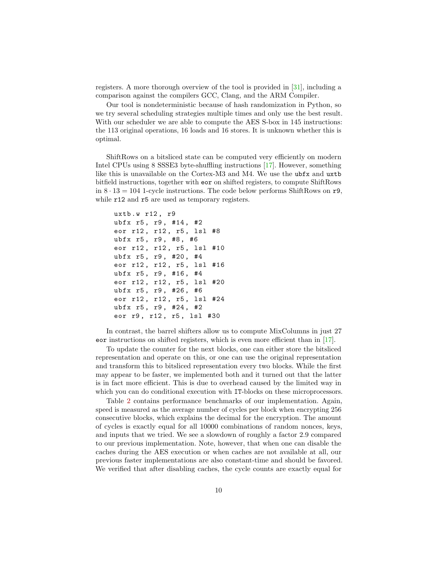registers. A more thorough overview of the tool is provided in [\[31\]](#page-14-8), including a comparison against the compilers GCC, Clang, and the ARM Compiler.

Our tool is nondeterministic because of hash randomization in Python, so we try several scheduling strategies multiple times and only use the best result. With our scheduler we are able to compute the AES S-box in 145 instructions: the 113 original operations, 16 loads and 16 stores. It is unknown whether this is optimal.

ShiftRows on a bitsliced state can be computed very efficiently on modern Intel CPUs using 8 SSSE3 byte-shuffling instructions [\[17\]](#page-13-0). However, something like this is unavailable on the Cortex-M3 and M4. We use the ubfx and uxtb bitfield instructions, together with eor on shifted registers, to compute ShiftRows in  $8 \cdot 13 = 104$  1-cycle instructions. The code below performs ShiftRows on r9, while r12 and r5 are used as temporary registers.

```
uxtb.w r12, r9
ubfx r5 , r9 , #14 , #2
eor r12, r12, r5, 1s1 #8
ubfx r5, r9, #8, #6
eor r12 , r12 , r5 , lsl #10
ubfx r5 , r9 , #20 , #4
eor r12 , r12 , r5 , lsl #16
ubfx r5 , r9 , #16 , #4
eor r12 , r12 , r5 , lsl #20
ubfx r5 , r9 , #26 , #6
eor r12 , r12 , r5 , lsl #24
ubfx r5 , r9 , #24 , #2
eor r9 , r12 , r5 , lsl #30
```
In contrast, the barrel shifters allow us to compute MixColumns in just 27 eor instructions on shifted registers, which is even more efficient than in [\[17\]](#page-13-0).

To update the counter for the next blocks, one can either store the bitsliced representation and operate on this, or one can use the original representation and transform this to bitsliced representation every two blocks. While the first may appear to be faster, we implemented both and it turned out that the latter is in fact more efficient. This is due to overhead caused by the limited way in which you can do conditional execution with IT-blocks on these microprocessors.

Table [2](#page-10-1) contains performance benchmarks of our implementation. Again, speed is measured as the average number of cycles per block when encrypting 256 consecutive blocks, which explains the decimal for the encryption. The amount of cycles is exactly equal for all 10000 combinations of random nonces, keys, and inputs that we tried. We see a slowdown of roughly a factor 2.9 compared to our previous implementation. Note, however, that when one can disable the caches during the AES execution or when caches are not available at all, our previous faster implementations are also constant-time and should be favored. We verified that after disabling caches, the cycle counts are exactly equal for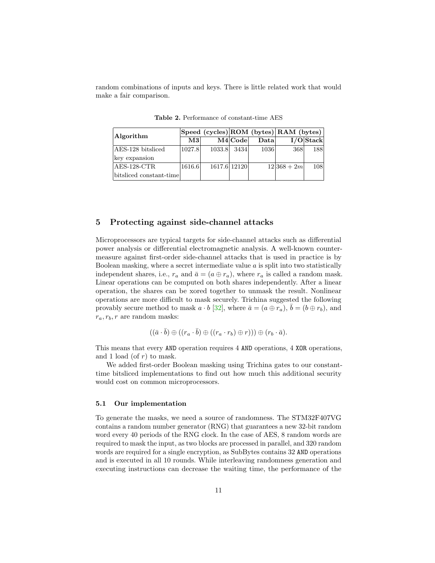random combinations of inputs and keys. There is little related work that would make a fair comparison.

| Algorithm               |               |        |              |       | Speed (cycles) ROM (bytes) RAM (bytes) |           |  |
|-------------------------|---------------|--------|--------------|-------|----------------------------------------|-----------|--|
|                         | $\mathbf{M3}$ |        | M4 Code      | Datal |                                        | I/O Stack |  |
| AES-128 bitsliced       | 1027.8        | 1033.8 | - 3434       | 1036  | 368                                    | 188       |  |
| key expansion           |               |        |              |       |                                        |           |  |
| $AES-128-CTR$           | 1616.6        |        | 1617.6 12120 |       | $12 368+2m $                           | 108       |  |
| bitsliced constant-time |               |        |              |       |                                        |           |  |

<span id="page-10-1"></span>Table 2. Performance of constant-time AES

## <span id="page-10-0"></span>5 Protecting against side-channel attacks

Microprocessors are typical targets for side-channel attacks such as differential power analysis or differential electromagnetic analysis. A well-known countermeasure against first-order side-channel attacks that is used in practice is by Boolean masking, where a secret intermediate value  $a$  is split into two statistically independent shares, i.e.,  $r_a$  and  $\bar{a} = (a \oplus r_a)$ , where  $r_a$  is called a random mask. Linear operations can be computed on both shares independently. After a linear operation, the shares can be xored together to unmask the result. Nonlinear operations are more difficult to mask securely. Trichina suggested the following provably secure method to mask  $a \cdot b$  [\[32\]](#page-14-9), where  $\bar{a} = (a \oplus r_a), \bar{b} = (b \oplus r_b),$  and  $r_a, r_b, r$  are random masks:

$$
((\bar{a}\cdot\bar{b})\oplus((r_a\cdot\bar{b})\oplus((r_a\cdot r_b)\oplus r)))\oplus(r_b\cdot\bar{a}).
$$

This means that every AND operation requires 4 AND operations, 4 XOR operations, and 1 load (of  $r$ ) to mask.

We added first-order Boolean masking using Trichina gates to our constanttime bitsliced implementations to find out how much this additional security would cost on common microprocessors.

#### 5.1 Our implementation

To generate the masks, we need a source of randomness. The STM32F407VG contains a random number generator (RNG) that guarantees a new 32-bit random word every 40 periods of the RNG clock. In the case of AES, 8 random words are required to mask the input, as two blocks are processed in parallel, and 320 random words are required for a single encryption, as SubBytes contains 32 AND operations and is executed in all 10 rounds. While interleaving randomness generation and executing instructions can decrease the waiting time, the performance of the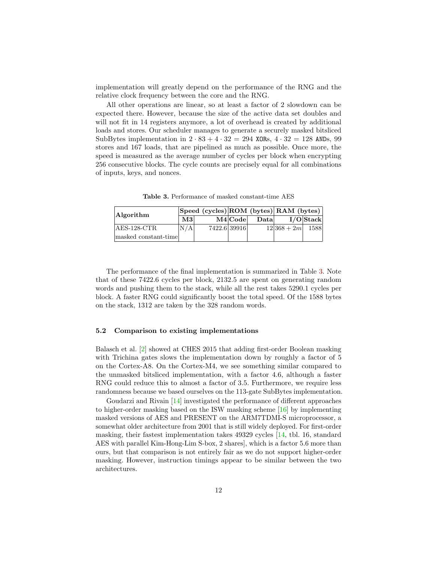implementation will greatly depend on the performance of the RNG and the relative clock frequency between the core and the RNG.

All other operations are linear, so at least a factor of 2 slowdown can be expected there. However, because the size of the active data set doubles and will not fit in 14 registers anymore, a lot of overhead is created by additional loads and stores. Our scheduler manages to generate a securely masked bitsliced SubBytes implementation in  $2 \cdot 83 + 4 \cdot 32 = 294$  XORs,  $4 \cdot 32 = 128$  ANDs, 99 stores and 167 loads, that are pipelined as much as possible. Once more, the speed is measured as the average number of cycles per block when encrypting 256 consecutive blocks. The cycle counts are precisely equal for all combinations of inputs, keys, and nonces.

<span id="page-11-0"></span>Table 3. Performance of masked constant-time AES

| Algorithm            | Speed (cycles) ROM (bytes) RAM (bytes) |              |         |       |                   |           |  |
|----------------------|----------------------------------------|--------------|---------|-------|-------------------|-----------|--|
|                      | $\mathbf{M3}$                          |              | M4 Code | Datal |                   | I/O Stack |  |
| AES-128-CTR          | N/A                                    | 7422.6 39916 |         |       | $12 368+2m $ 1588 |           |  |
| masked constant-time |                                        |              |         |       |                   |           |  |

The performance of the final implementation is summarized in Table [3.](#page-11-0) Note that of these 7422.6 cycles per block, 2132.5 are spent on generating random words and pushing them to the stack, while all the rest takes 5290.1 cycles per block. A faster RNG could significantly boost the total speed. Of the 1588 bytes on the stack, 1312 are taken by the 328 random words.

### 5.2 Comparison to existing implementations

Balasch et al. [\[2\]](#page-12-7) showed at CHES 2015 that adding first-order Boolean masking with Trichina gates slows the implementation down by roughly a factor of 5 on the Cortex-A8. On the Cortex-M4, we see something similar compared to the unmasked bitsliced implementation, with a factor 4.6, although a faster RNG could reduce this to almost a factor of 3.5. Furthermore, we require less randomness because we based ourselves on the 113-gate SubBytes implementation.

Goudarzi and Rivain [\[14\]](#page-13-13) investigated the performance of different approaches to higher-order masking based on the ISW masking scheme [\[16\]](#page-13-14) by implementing masked versions of AES and PRESENT on the ARM7TDMI-S microprocessor, a somewhat older architecture from 2001 that is still widely deployed. For first-order masking, their fastest implementation takes 49329 cycles [\[14,](#page-13-13) tbl. 16, standard AES with parallel Kim-Hong-Lim S-box, 2 shares], which is a factor 5.6 more than ours, but that comparison is not entirely fair as we do not support higher-order masking. However, instruction timings appear to be similar between the two architectures.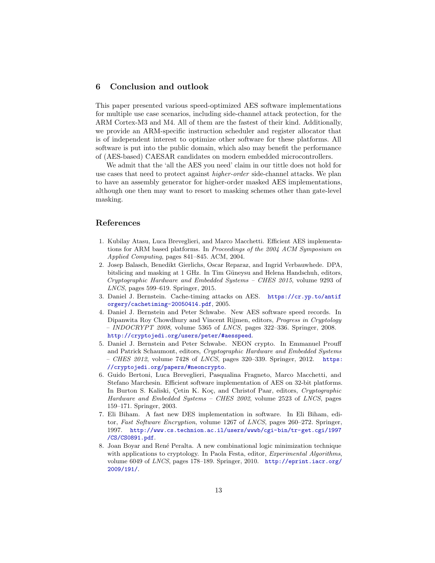## 6 Conclusion and outlook

This paper presented various speed-optimized AES software implementations for multiple use case scenarios, including side-channel attack protection, for the ARM Cortex-M3 and M4. All of them are the fastest of their kind. Additionally, we provide an ARM-specific instruction scheduler and register allocator that is of independent interest to optimize other software for these platforms. All software is put into the public domain, which also may benefit the performance of (AES-based) CAESAR candidates on modern embedded microcontrollers.

We admit that the 'all the AES you need' claim in our tittle does not hold for use cases that need to protect against higher-order side-channel attacks. We plan to have an assembly generator for higher-order masked AES implementations, although one then may want to resort to masking schemes other than gate-level masking.

## References

- <span id="page-12-2"></span>1. Kubilay Atasu, Luca Breveglieri, and Marco Macchetti. Efficient AES implementations for ARM based platforms. In Proceedings of the 2004 ACM Symposium on Applied Computing, pages 841–845. ACM, 2004.
- <span id="page-12-7"></span>2. Josep Balasch, Benedikt Gierlichs, Oscar Reparaz, and Ingrid Verbauwhede. DPA, bitslicing and masking at 1 GHz. In Tim Güneysu and Helena Handschuh, editors, Cryptographic Hardware and Embedded Systems – CHES 2015, volume 9293 of LNCS, pages 599–619. Springer, 2015.
- <span id="page-12-4"></span>3. Daniel J. Bernstein. Cache-timing attacks on AES. [https://cr.yp.to/antif](https://cr.yp.to/antiforgery/cachetiming-20050414.pdf) [orgery/cachetiming-20050414.pdf](https://cr.yp.to/antiforgery/cachetiming-20050414.pdf), 2005.
- <span id="page-12-0"></span>4. Daniel J. Bernstein and Peter Schwabe. New AES software speed records. In Dipanwita Roy Chowdhury and Vincent Rijmen, editors, Progress in Cryptology  $-$  INDOCRYPT 2008, volume 5365 of LNCS, pages 322–336. Springer, 2008. <http://cryptojedi.org/users/peter/#aesspeed>.
- <span id="page-12-1"></span>5. Daniel J. Bernstein and Peter Schwabe. NEON crypto. In Emmanuel Prouff and Patrick Schaumont, editors, Cryptographic Hardware and Embedded Systems  $CHES$  2012, volume 7428 of LNCS, pages 320-339. Springer, 2012. [https:](https://cryptojedi.org/papers/#neoncrypto) [//cryptojedi.org/papers/#neoncrypto](https://cryptojedi.org/papers/#neoncrypto).
- <span id="page-12-3"></span>6. Guido Bertoni, Luca Breveglieri, Pasqualina Fragneto, Marco Macchetti, and Stefano Marchesin. Efficient software implementation of AES on 32-bit platforms. In Burton S. Kaliski, Çetin K. Koç, and Christof Paar, editors, Cryptographic Hardware and Embedded Systems – CHES 2002, volume 2523 of LNCS, pages 159–171. Springer, 2003.
- <span id="page-12-5"></span>7. Eli Biham. A fast new DES implementation in software. In Eli Biham, editor, Fast Software Encryption, volume 1267 of LNCS, pages 260–272. Springer, 1997. [http://www.cs.technion.ac.il/users/wwwb/cgi-bin/tr-get.cgi/1997](http://www.cs.technion.ac.il/users/wwwb/cgi-bin/tr-get.cgi/1997/CS/CS0891.pdf) [/CS/CS0891.pdf](http://www.cs.technion.ac.il/users/wwwb/cgi-bin/tr-get.cgi/1997/CS/CS0891.pdf).
- <span id="page-12-6"></span>8. Joan Boyar and René Peralta. A new combinational logic minimization technique with applications to cryptology. In Paola Festa, editor, *Experimental Algorithms*, volume 6049 of LNCS, pages 178–189. Springer, 2010. [http://eprint.iacr.org/](http://eprint.iacr.org/2009/191/) [2009/191/](http://eprint.iacr.org/2009/191/).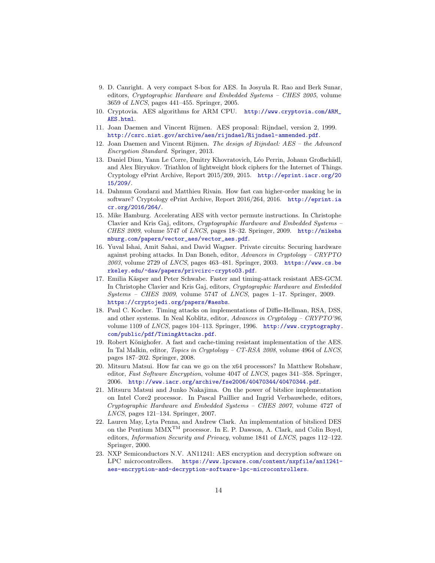- <span id="page-13-12"></span>9. D. Canright. A very compact S-box for AES. In Josyula R. Rao and Berk Sunar, editors, Cryptographic Hardware and Embedded Systems – CHES 2005, volume 3659 of LNCS, pages 441–455. Springer, 2005.
- <span id="page-13-7"></span>10. Cryptovia. AES algorithms for ARM CPU. [http://www.cryptovia.com/ARM\\_](http://www.cryptovia.com/ARM_AES.html) [AES.html](http://www.cryptovia.com/ARM_AES.html).
- <span id="page-13-2"></span>11. Joan Daemen and Vincent Rijmen. AES proposal: Rijndael, version 2, 1999. <http://csrc.nist.gov/archive/aes/rijndael/Rijndael-ammended.pdf>.
- <span id="page-13-1"></span>12. Joan Daemen and Vincent Rijmen. The design of Rijndael: AES – the Advanced Encryption Standard. Springer, 2013.
- <span id="page-13-9"></span>13. Daniel Dinu, Yann Le Corre, Dmitry Khovratovich, Léo Perrin, Johann Großschädl, and Alex Biryukov. Triathlon of lightweight block ciphers for the Internet of Things. Cryptology ePrint Archive, Report 2015/209, 2015. [http://eprint.iacr.org/20](http://eprint.iacr.org/2015/209/) [15/209/](http://eprint.iacr.org/2015/209/).
- <span id="page-13-13"></span>14. Dahmun Goudarzi and Matthieu Rivain. How fast can higher-order masking be in software? Cryptology ePrint Archive, Report 2016/264, 2016. [http://eprint.ia](http://eprint.iacr.org/2016/264/) [cr.org/2016/264/](http://eprint.iacr.org/2016/264/).
- <span id="page-13-3"></span>15. Mike Hamburg. Accelerating AES with vector permute instructions. In Christophe Clavier and Kris Gaj, editors, Cryptographic Hardware and Embedded Systems – CHES 2009, volume 5747 of LNCS, pages 18–32. Springer, 2009. [http://mikeha](http://mikehamburg.com/papers/vector_aes/vector_aes.pdf) [mburg.com/papers/vector\\_aes/vector\\_aes.pdf](http://mikehamburg.com/papers/vector_aes/vector_aes.pdf).
- <span id="page-13-14"></span>16. Yuval Ishai, Amit Sahai, and David Wagner. Private circuits: Securing hardware against probing attacks. In Dan Boneh, editor, Advances in Cryptology – CRYPTO  $2003$ , volume 2729 of LNCS, pages 463-481. Springer, 2003. [https://www.cs.be](https://www.cs.berkeley.edu/~daw/papers/privcirc-crypto03.pdf) [rkeley.edu/~daw/papers/privcirc-crypto03.pdf](https://www.cs.berkeley.edu/~daw/papers/privcirc-crypto03.pdf).
- <span id="page-13-0"></span>17. Emilia Käsper and Peter Schwabe. Faster and timing-attack resistant AES-GCM. In Christophe Clavier and Kris Gaj, editors, Cryptographic Hardware and Embedded  $Systems - CHES 2009$ , volume 5747 of *LNCS*, pages 1–17. Springer, 2009. <https://cryptojedi.org/papers/#aesbs>.
- <span id="page-13-10"></span>18. Paul C. Kocher. Timing attacks on implementations of Diffie-Hellman, RSA, DSS, and other systems. In Neal Koblitz, editor, Advances in Cryptology – CRYPTO'96, volume 1109 of LNCS, pages 104–113. Springer, 1996. [http://www.cryptography.](http://www.cryptography.com/public/pdf/TimingAttacks.pdf) [com/public/pdf/TimingAttacks.pdf](http://www.cryptography.com/public/pdf/TimingAttacks.pdf).
- <span id="page-13-4"></span>19. Robert Könighofer. A fast and cache-timing resistant implementation of the AES. In Tal Malkin, editor, Topics in Cryptology – CT-RSA 2008, volume 4964 of LNCS, pages 187–202. Springer, 2008.
- <span id="page-13-5"></span>20. Mitsuru Matsui. How far can we go on the x64 processors? In Matthew Robshaw, editor, Fast Software Encryption, volume 4047 of LNCS, pages 341–358. Springer, 2006. <http://www.iacr.org/archive/fse2006/40470344/40470344.pdf>.
- <span id="page-13-6"></span>21. Mitsuru Matsui and Junko Nakajima. On the power of bitslice implementation on Intel Core2 processor. In Pascal Paillier and Ingrid Verbauwhede, editors, Cryptographic Hardware and Embedded Systems – CHES 2007, volume 4727 of LNCS, pages 121–134. Springer, 2007.
- <span id="page-13-11"></span>22. Lauren May, Lyta Penna, and Andrew Clark. An implementation of bitsliced DES on the Pentium  $M\Lambda X^{TM}$  processor. In E. P. Dawson, A. Clark, and Colin Boyd, editors, Information Security and Privacy, volume 1841 of LNCS, pages 112–122. Springer, 2000.
- <span id="page-13-8"></span>23. NXP Semiconductors N.V. AN11241: AES encryption and decryption software on LPC microcontrollers. [https://www.lpcware.com/content/nxpfile/an11241](https://www.lpcware.com/content/nxpfile/an11241-aes-encryption-and-decryption-software-lpc-microcontrollers) [aes-encryption-and-decryption-software-lpc-microcontrollers](https://www.lpcware.com/content/nxpfile/an11241-aes-encryption-and-decryption-software-lpc-microcontrollers).